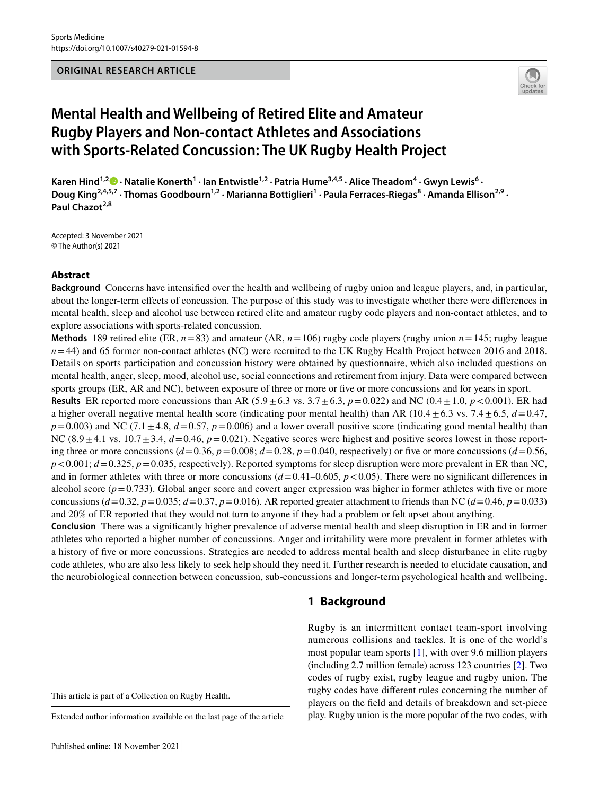#### **ORIGINAL RESEARCH ARTICLE**



# **Mental Health and Wellbeing of Retired Elite and Amateur Rugby Players and Non‑contact Athletes and Associations with Sports‑Related Concussion: The UK Rugby Health Project**

KarenHind<sup>1,2</sup><sup>0</sup> · Natalie Konerth<sup>1</sup> · Ian Entwistle<sup>1,2</sup> · Patria Hume<sup>3,4,5</sup> · Alice Theadom<sup>4</sup> · Gwyn Lewis<sup>6</sup> · Doug King<sup>2,4,5,7</sup> · Thomas Goodbourn<sup>1,2</sup> · Marianna Bottiglieri<sup>1</sup> · Paula Ferraces-Riegas<sup>8</sup> · Amanda Ellison<sup>2,9</sup> · Paul Chazot<sup>2,8</sup>

Accepted: 3 November 2021 © The Author(s) 2021

#### **Abstract**

**Background** Concerns have intensifed over the health and wellbeing of rugby union and league players, and, in particular, about the longer-term efects of concussion. The purpose of this study was to investigate whether there were diferences in mental health, sleep and alcohol use between retired elite and amateur rugby code players and non-contact athletes, and to explore associations with sports-related concussion.

**Methods** 189 retired elite (ER,  $n=83$ ) and amateur (AR,  $n=106$ ) rugby code players (rugby union  $n=145$ ; rugby league *n*=44) and 65 former non-contact athletes (NC) were recruited to the UK Rugby Health Project between 2016 and 2018. Details on sports participation and concussion history were obtained by questionnaire, which also included questions on mental health, anger, sleep, mood, alcohol use, social connections and retirement from injury. Data were compared between sports groups (ER, AR and NC), between exposure of three or more or fve or more concussions and for years in sport.

**Results** ER reported more concussions than AR  $(5.9 \pm 6.3 \text{ vs. } 3.7 \pm 6.3, p = 0.022)$  and NC  $(0.4 \pm 1.0, p < 0.001)$ . ER had a higher overall negative mental health score (indicating poor mental health) than AR ( $10.4 \pm 6.3$  vs. 7.4 $\pm 6.5$ ,  $d = 0.47$ ,  $p=0.003$ ) and NC (7.1 $\pm$ 4.8,  $d=0.57$ ,  $p=0.006$ ) and a lower overall positive score (indicating good mental health) than NC  $(8.9 \pm 4.1 \text{ vs. } 10.7 \pm 3.4, d = 0.46, p = 0.021)$ . Negative scores were highest and positive scores lowest in those reporting three or more concussions  $(d=0.36, p=0.008; d=0.28, p=0.040$ , respectively) or five or more concussions  $(d=0.56, p=0.008; d=0.28, p=0.040)$  $p < 0.001$ ;  $d = 0.325$ ,  $p = 0.035$ , respectively). Reported symptoms for sleep disruption were more prevalent in ER than NC, and in former athletes with three or more concussions  $(d=0.41-0.605, p<0.05)$ . There were no significant differences in alcohol score  $(p=0.733)$ . Global anger score and covert anger expression was higher in former athletes with five or more concussions  $(d=0.32, p=0.035; d=0.37, p=0.016)$ . AR reported greater attachment to friends than NC  $(d=0.46, p=0.033)$ and 20% of ER reported that they would not turn to anyone if they had a problem or felt upset about anything.

**Conclusion** There was a signifcantly higher prevalence of adverse mental health and sleep disruption in ER and in former athletes who reported a higher number of concussions. Anger and irritability were more prevalent in former athletes with a history of fve or more concussions. Strategies are needed to address mental health and sleep disturbance in elite rugby code athletes, who are also less likely to seek help should they need it. Further research is needed to elucidate causation, and the neurobiological connection between concussion, sub-concussions and longer-term psychological health and wellbeing.

# **1 Background**

numerous collisions and tackles. It is one of the world's most popular team sports [\[1](#page-10-0)], with over 9.6 million players (including 2.7 million female) across 123 countries [[2\]](#page-10-1). Two codes of rugby exist, rugby league and rugby union. The rugby codes have diferent rules concerning the number of players on the feld and details of breakdown and set-piece play. Rugby union is the more popular of the two codes, with

Rugby is an intermittent contact team-sport involving

This article is part of a Collection on Rugby Health.

Extended author information available on the last page of the article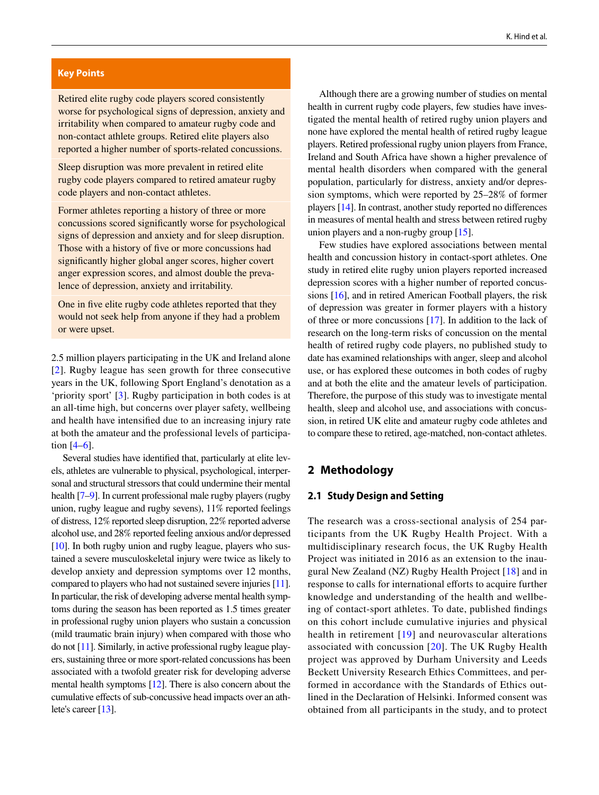#### **Key Points**

Retired elite rugby code players scored consistently worse for psychological signs of depression, anxiety and irritability when compared to amateur rugby code and non-contact athlete groups. Retired elite players also reported a higher number of sports-related concussions.

Sleep disruption was more prevalent in retired elite rugby code players compared to retired amateur rugby code players and non-contact athletes.

Former athletes reporting a history of three or more concussions scored signifcantly worse for psychological signs of depression and anxiety and for sleep disruption. Those with a history of fve or more concussions had signifcantly higher global anger scores, higher covert anger expression scores, and almost double the prevalence of depression, anxiety and irritability.

One in fve elite rugby code athletes reported that they would not seek help from anyone if they had a problem or were upset.

2.5 million players participating in the UK and Ireland alone [[2\]](#page-10-1). Rugby league has seen growth for three consecutive years in the UK, following Sport England's denotation as a 'priority sport' [[3\]](#page-10-2). Rugby participation in both codes is at an all-time high, but concerns over player safety, wellbeing and health have intensifed due to an increasing injury rate at both the amateur and the professional levels of participation  $[4–6]$  $[4–6]$  $[4–6]$ .

Several studies have identifed that, particularly at elite levels, athletes are vulnerable to physical, psychological, interpersonal and structural stressors that could undermine their mental health [[7](#page-10-5)[–9\]](#page-10-6). In current professional male rugby players (rugby union, rugby league and rugby sevens), 11% reported feelings of distress, 12% reported sleep disruption, 22% reported adverse alcohol use, and 28% reported feeling anxious and/or depressed [\[10\]](#page-10-7). In both rugby union and rugby league, players who sustained a severe musculoskeletal injury were twice as likely to develop anxiety and depression symptoms over 12 months, compared to players who had not sustained severe injuries [\[11\]](#page-10-8). In particular, the risk of developing adverse mental health symptoms during the season has been reported as 1.5 times greater in professional rugby union players who sustain a concussion (mild traumatic brain injury) when compared with those who do not [\[11\]](#page-10-8). Similarly, in active professional rugby league players, sustaining three or more sport-related concussions has been associated with a twofold greater risk for developing adverse mental health symptoms [\[12\]](#page-10-9). There is also concern about the cumulative efects of sub-concussive head impacts over an athlete's career [[13](#page-10-10)].

Although there are a growing number of studies on mental health in current rugby code players, few studies have investigated the mental health of retired rugby union players and none have explored the mental health of retired rugby league players. Retired professional rugby union players from France, Ireland and South Africa have shown a higher prevalence of mental health disorders when compared with the general population, particularly for distress, anxiety and/or depression symptoms, which were reported by 25–28% of former players [[14\]](#page-11-0). In contrast, another study reported no diferences in measures of mental health and stress between retired rugby union players and a non-rugby group [[15](#page-11-1)].

Few studies have explored associations between mental health and concussion history in contact-sport athletes. One study in retired elite rugby union players reported increased depression scores with a higher number of reported concussions [\[16\]](#page-11-2), and in retired American Football players, the risk of depression was greater in former players with a history of three or more concussions [\[17](#page-11-3)]. In addition to the lack of research on the long-term risks of concussion on the mental health of retired rugby code players, no published study to date has examined relationships with anger, sleep and alcohol use, or has explored these outcomes in both codes of rugby and at both the elite and the amateur levels of participation. Therefore, the purpose of this study was to investigate mental health, sleep and alcohol use, and associations with concussion, in retired UK elite and amateur rugby code athletes and to compare these to retired, age-matched, non-contact athletes.

# <span id="page-1-0"></span>**2 Methodology**

#### <span id="page-1-1"></span>**2.1 Study Design and Setting**

The research was a cross-sectional analysis of 254 participants from the UK Rugby Health Project. With a multidisciplinary research focus, the UK Rugby Health Project was initiated in 2016 as an extension to the inaugural New Zealand (NZ) Rugby Health Project [\[18](#page-11-4)] and in response to calls for international efforts to acquire further knowledge and understanding of the health and wellbeing of contact-sport athletes. To date, published fndings on this cohort include cumulative injuries and physical health in retirement [[19\]](#page-11-5) and neurovascular alterations associated with concussion [\[20\]](#page-11-6). The UK Rugby Health project was approved by Durham University and Leeds Beckett University Research Ethics Committees, and performed in accordance with the Standards of Ethics outlined in the Declaration of Helsinki. Informed consent was obtained from all participants in the study, and to protect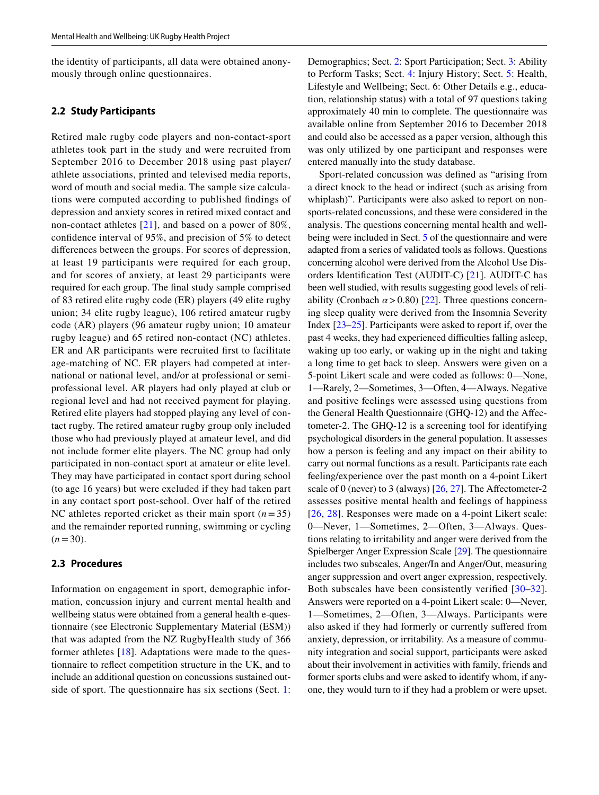the identity of participants, all data were obtained anonymously through online questionnaires.

#### **2.2 Study Participants**

Retired male rugby code players and non-contact-sport athletes took part in the study and were recruited from September 2016 to December 2018 using past player/ athlete associations, printed and televised media reports, word of mouth and social media. The sample size calculations were computed according to published fndings of depression and anxiety scores in retired mixed contact and non-contact athletes [[21\]](#page-11-7), and based on a power of 80%, confdence interval of 95%, and precision of 5% to detect diferences between the groups. For scores of depression, at least 19 participants were required for each group, and for scores of anxiety, at least 29 participants were required for each group. The fnal study sample comprised of 83 retired elite rugby code (ER) players (49 elite rugby union; 34 elite rugby league), 106 retired amateur rugby code (AR) players (96 amateur rugby union; 10 amateur rugby league) and 65 retired non-contact (NC) athletes. ER and AR participants were recruited frst to facilitate age-matching of NC. ER players had competed at international or national level, and/or at professional or semiprofessional level. AR players had only played at club or regional level and had not received payment for playing. Retired elite players had stopped playing any level of contact rugby. The retired amateur rugby group only included those who had previously played at amateur level, and did not include former elite players. The NC group had only participated in non-contact sport at amateur or elite level. They may have participated in contact sport during school (to age 16 years) but were excluded if they had taken part in any contact sport post-school. Over half of the retired NC athletes reported cricket as their main sport  $(n=35)$ and the remainder reported running, swimming or cycling  $(n=30)$ .

### **2.3 Procedures**

Information on engagement in sport, demographic information, concussion injury and current mental health and wellbeing status were obtained from a general health e-questionnaire (see Electronic Supplementary Material (ESM)) that was adapted from the NZ RugbyHealth study of 366 former athletes [[18](#page-11-4)]. Adaptations were made to the questionnaire to refect competition structure in the UK, and to include an additional question on concussions sustained outside of sport. The questionnaire has six sections (Sect. [1](#page-1-0): Demographics; Sect. [2](#page-1-1): Sport Participation; Sect. [3:](#page-3-0) Ability to Perform Tasks; Sect. [4](#page-5-0): Injury History; Sect. [5:](#page-9-0) Health, Lifestyle and Wellbeing; Sect. 6: Other Details e.g., education, relationship status) with a total of 97 questions taking approximately 40 min to complete. The questionnaire was available online from September 2016 to December 2018 and could also be accessed as a paper version, although this was only utilized by one participant and responses were entered manually into the study database.

Sport-related concussion was defned as "arising from a direct knock to the head or indirect (such as arising from whiplash)". Participants were also asked to report on nonsports-related concussions, and these were considered in the analysis. The questions concerning mental health and wellbeing were included in Sect. [5](#page-9-0) of the questionnaire and were adapted from a series of validated tools as follows. Questions concerning alcohol were derived from the Alcohol Use Disorders Identifcation Test (AUDIT-C) [\[21\]](#page-11-7). AUDIT-C has been well studied, with results suggesting good levels of reliability (Cronbach  $\alpha$  > 0.80) [[22\]](#page-11-8). Three questions concerning sleep quality were derived from the Insomnia Severity Index [\[23–](#page-11-9)[25\]](#page-11-10). Participants were asked to report if, over the past 4 weeks, they had experienced difficulties falling asleep, waking up too early, or waking up in the night and taking a long time to get back to sleep. Answers were given on a 5-point Likert scale and were coded as follows: 0—None, 1—Rarely, 2—Sometimes, 3—Often, 4—Always. Negative and positive feelings were assessed using questions from the General Health Questionnaire (GHQ-12) and the Afectometer-2. The GHQ-12 is a screening tool for identifying psychological disorders in the general population. It assesses how a person is feeling and any impact on their ability to carry out normal functions as a result. Participants rate each feeling/experience over the past month on a 4-point Likert scale of 0 (never) to 3 (always) [\[26](#page-11-11), [27\]](#page-11-12). The Afectometer-2 assesses positive mental health and feelings of happiness [[26,](#page-11-11) [28\]](#page-11-13). Responses were made on a 4-point Likert scale: 0—Never, 1—Sometimes, 2—Often, 3—Always. Questions relating to irritability and anger were derived from the Spielberger Anger Expression Scale [[29\]](#page-11-14). The questionnaire includes two subscales, Anger/In and Anger/Out, measuring anger suppression and overt anger expression, respectively. Both subscales have been consistently verifed [[30–](#page-11-15)[32](#page-11-16)]. Answers were reported on a 4-point Likert scale: 0—Never, 1—Sometimes, 2—Often, 3—Always. Participants were also asked if they had formerly or currently sufered from anxiety, depression, or irritability. As a measure of community integration and social support, participants were asked about their involvement in activities with family, friends and former sports clubs and were asked to identify whom, if anyone, they would turn to if they had a problem or were upset.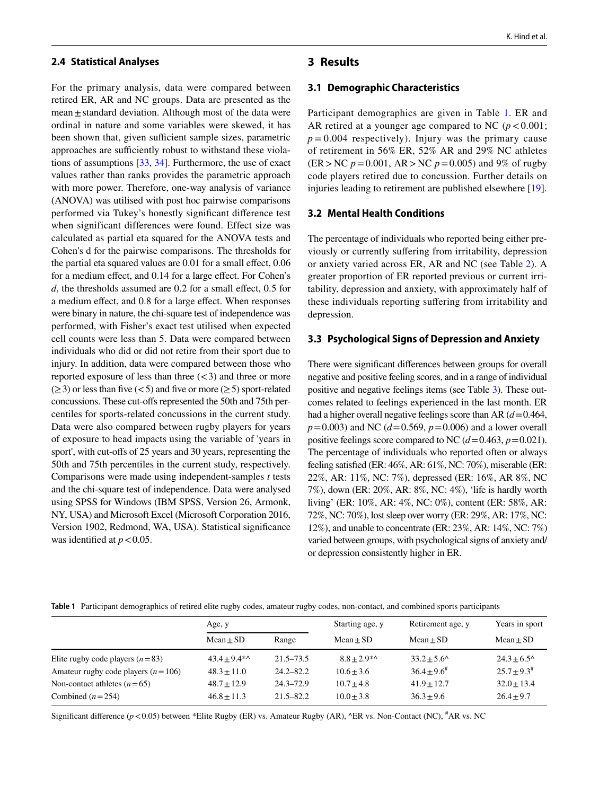#### **2.4 Statistical Analyses**

For the primary analysis, data were compared between retired ER, AR and NC groups. Data are presented as the mean $\pm$ standard deviation. Although most of the data were ordinal in nature and some variables were skewed, it has been shown that, given sufficient sample sizes, parametric approaches are sufficiently robust to withstand these violations of assumptions [[33,](#page-11-17) [34\]](#page-11-18). Furthermore, the use of exact values rather than ranks provides the parametric approach with more power. Therefore, one-way analysis of variance (ANOVA) was utilised with post hoc pairwise comparisons performed via Tukey's honestly signifcant diference test when significant differences were found. Effect size was calculated as partial eta squared for the ANOVA tests and Cohen's d for the pairwise comparisons. The thresholds for the partial eta squared values are 0.01 for a small effect, 0.06 for a medium effect, and 0.14 for a large effect. For Cohen's *d*, the thresholds assumed are 0.2 for a small effect, 0.5 for a medium efect, and 0.8 for a large efect. When responses were binary in nature, the chi-square test of independence was performed, with Fisher's exact test utilised when expected cell counts were less than 5. Data were compared between individuals who did or did not retire from their sport due to injury. In addition, data were compared between those who reported exposure of less than three  $(< 3)$  and three or more  $(\geq 3)$  or less than five (<5) and five or more ( $\geq 5$ ) sport-related concussions. These cut-ofs represented the 50th and 75th percentiles for sports-related concussions in the current study. Data were also compared between rugby players for years of exposure to head impacts using the variable of 'years in sport', with cut-offs of 25 years and 30 years, representing the 50th and 75th percentiles in the current study, respectively. Comparisons were made using independent-samples *t* tests and the chi-square test of independence. Data were analysed using SPSS for Windows (IBM SPSS, Version 26, Armonk, NY, USA) and Microsoft Excel (Microsoft Corporation 2016, Version 1902, Redmond, WA, USA). Statistical signifcance was identified at  $p < 0.05$ .

#### K. Hind et al.

#### <span id="page-3-0"></span>**3 Results**

#### **3.1 Demographic Characteristics**

Participant demographics are given in Table [1](#page-3-1). ER and AR retired at a younger age compared to NC  $(p < 0.001)$ ;  $p = 0.004$  respectively). Injury was the primary cause of retirement in 56% ER, 52% AR and 29% NC athletes (ER>NC *p*=0.001, AR>NC *p*=0.005) and 9% of rugby code players retired due to concussion. Further details on injuries leading to retirement are published elsewhere [\[19](#page-11-5)].

#### **3.2 Mental Health Conditions**

The percentage of individuals who reported being either previously or currently sufering from irritability, depression or anxiety varied across ER, AR and NC (see Table [2](#page-4-0)). A greater proportion of ER reported previous or current irritability, depression and anxiety, with approximately half of these individuals reporting sufering from irritability and depression.

#### **3.3 Psychological Signs of Depression and Anxiety**

There were signifcant diferences between groups for overall negative and positive feeling scores, and in a range of individual positive and negative feelings items (see Table [3\)](#page-5-1). These outcomes related to feelings experienced in the last month. ER had a higher overall negative feelings score than AR (*d*=0.464, *p*=0.003) and NC (*d*=0.569, *p*=0.006) and a lower overall positive feelings score compared to NC  $(d=0.463, p=0.021)$ . The percentage of individuals who reported often or always feeling satisfed (ER: 46%, AR: 61%, NC: 70%), miserable (ER: 22%, AR: 11%, NC: 7%), depressed (ER: 16%, AR 8%, NC 7%), down (ER: 20%, AR: 8%, NC: 4%), 'life is hardly worth living' (ER: 10%, AR: 4%, NC: 0%), content (ER: 58%, AR: 72%, NC: 70%), lost sleep over worry (ER: 29%, AR: 17%, NC: 12%), and unable to concentrate (ER: 23%, AR: 14%, NC: 7%) varied between groups, with psychological signs of anxiety and/ or depression consistently higher in ER.

<span id="page-3-1"></span>

|  |  |  |  |  | Table 1 Participant demographics of retired elite rugby codes, amateur rugby codes, non-contact, and combined sports participants |  |  |  |  |
|--|--|--|--|--|-----------------------------------------------------------------------------------------------------------------------------------|--|--|--|--|
|--|--|--|--|--|-----------------------------------------------------------------------------------------------------------------------------------|--|--|--|--|

|                                        | Age, y          |               | Starting age, y | Retirement age, y    | Years in sport       |
|----------------------------------------|-----------------|---------------|-----------------|----------------------|----------------------|
|                                        | $Mean \pm SD$   | Range         | $Mean + SD$     | $Mean + SD$          | $Mean \pm SD$        |
| Elite rugby code players $(n=83)$      | $43.4 + 9.4$ *^ | $21.5 - 73.5$ | $8.8 + 2.9$ *^  | $33.2 + 5.6^{\circ}$ | $24.3 + 6.5^{\circ}$ |
| Amateur rugby code players $(n = 106)$ | $48.3 + 11.0$   | $24.2 - 82.2$ | $10.6 + 3.6$    | $36.4 + 9.6^{\#}$    | $25.7 + 9.3^{\#}$    |
| Non-contact athletes $(n=65)$          | $48.7 \pm 12.9$ | $24.3 - 72.9$ | $10.7 + 4.8$    | $41.9 + 12.7$        | $32.0 \pm 13.4$      |
| Combined $(n=254)$                     | $46.8 \pm 11.3$ | $21.5 - 82.2$ | $10.0 + 3.8$    | $36.3 + 9.6$         | $26.4 \pm 9.7$       |

Significant difference ( $p$ <0.05) between \*Elite Rugby (ER) vs. Amateur Rugby (AR), ^ER vs. Non-Contact (NC), <sup>#</sup>AR vs. NC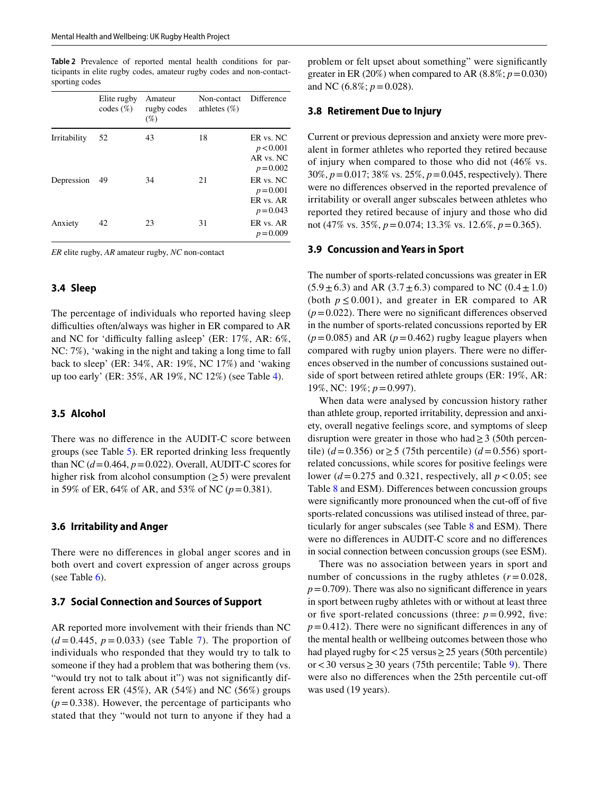<span id="page-4-0"></span>**Table 2** Prevalence of reported mental health conditions for participants in elite rugby codes, amateur rugby codes and non-contactsporting codes

|              | Elite rugby<br>$codes (\%)$ | Amateur<br>rugby codes<br>$(\% )$ | Non-contact<br>athletes $(\%)$ | Difference                                           |
|--------------|-----------------------------|-----------------------------------|--------------------------------|------------------------------------------------------|
| Irritability | 52                          | 43                                | 18                             | ER vs. NC<br>p < 0.001<br>AR vs. NC<br>$p = 0.002$   |
| Depression   | 49                          | 34                                | 21                             | ER vs. NC<br>$p = 0.001$<br>ER vs. AR<br>$p = 0.043$ |
| Anxiety      | 42                          | 23                                | 31                             | ER vs. AR<br>$p = 0.009$                             |

*ER* elite rugby, *AR* amateur rugby, *NC* non-contact

#### **3.4 Sleep**

The percentage of individuals who reported having sleep difficulties often/always was higher in ER compared to AR and NC for 'difficulty falling asleep' (ER:  $17\%$ , AR:  $6\%$ , NC: 7%), 'waking in the night and taking a long time to fall back to sleep' (ER: 34%, AR: 19%, NC 17%) and 'waking up too early' (ER: 35%, AR 19%, NC 12%) (see Table [4](#page-6-0)).

#### **3.5 Alcohol**

There was no diference in the AUDIT-C score between groups (see Table [5](#page-6-1)). ER reported drinking less frequently than NC  $(d=0.464, p=0.022)$ . Overall, AUDIT-C scores for higher risk from alcohol consumption  $(\geq 5)$  were prevalent in 59% of ER, 64% of AR, and 53% of NC  $(p=0.381)$ .

#### **3.6 Irritability and Anger**

There were no diferences in global anger scores and in both overt and covert expression of anger across groups (see Table  $6$ ).

#### **3.7 Social Connection and Sources of Support**

AR reported more involvement with their friends than NC  $(d=0.445, p=0.033)$  (see Table [7](#page-6-3)). The proportion of individuals who responded that they would try to talk to someone if they had a problem that was bothering them (vs. "would try not to talk about it") was not significantly different across ER  $(45\%)$ , AR  $(54\%)$  and NC  $(56\%)$  groups  $(p=0.338)$ . However, the percentage of participants who stated that they "would not turn to anyone if they had a problem or felt upset about something" were signifcantly greater in ER (20%) when compared to AR (8.8%;  $p = 0.030$ ) and NC (6.8%; *p*=0.028).

#### **3.8 Retirement Due to Injury**

Current or previous depression and anxiety were more prevalent in former athletes who reported they retired because of injury when compared to those who did not (46% vs. 30%, *p*=0.017; 38% vs. 25%, *p*=0.045, respectively). There were no diferences observed in the reported prevalence of irritability or overall anger subscales between athletes who reported they retired because of injury and those who did not (47% vs. 35%, *p*=0.074; 13.3% vs. 12.6%, *p*=0.365).

#### **3.9 Concussion and Years in Sport**

The number of sports-related concussions was greater in ER  $(5.9 \pm 6.3)$  and AR  $(3.7 \pm 6.3)$  compared to NC  $(0.4 \pm 1.0)$ (both  $p \le 0.001$ ), and greater in ER compared to AR  $(p=0.022)$ . There were no significant differences observed in the number of sports-related concussions reported by ER  $(p=0.085)$  and AR  $(p=0.462)$  rugby league players when compared with rugby union players. There were no diferences observed in the number of concussions sustained outside of sport between retired athlete groups (ER: 19%, AR: 19%, NC: 19%; *p*=0.997).

When data were analysed by concussion history rather than athlete group, reported irritability, depression and anxiety, overall negative feelings score, and symptoms of sleep disruption were greater in those who had  $\geq$  3 (50th percentile) (*d* = 0.356) or ≥ 5 (75th percentile) (*d* = 0.556) sportrelated concussions, while scores for positive feelings were lower ( $d = 0.275$  and 0.321, respectively, all  $p < 0.05$ ; see Table [8](#page-7-0) and ESM). Diferences between concussion groups were significantly more pronounced when the cut-off of five sports-related concussions was utilised instead of three, particularly for anger subscales (see Table [8](#page-7-0) and ESM). There were no diferences in AUDIT-C score and no diferences in social connection between concussion groups (see ESM).

There was no association between years in sport and number of concussions in the rugby athletes  $(r=0.028,$  $p=0.709$ ). There was also no significant difference in years in sport between rugby athletes with or without at least three or five sport-related concussions (three:  $p = 0.992$ , five:  $p=0.412$ ). There were no significant differences in any of the mental health or wellbeing outcomes between those who had played rugby for<25 versus≥25 years (50th percentile) or  $<$  30 versus  $>$  30 years (75th percentile; Table [9\)](#page-8-0). There were also no differences when the 25th percentile cut-off was used (19 years).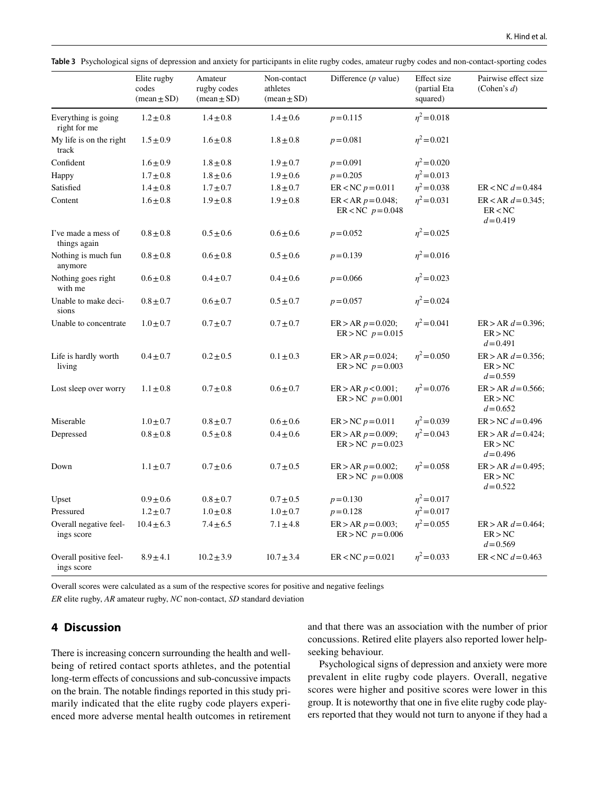<span id="page-5-1"></span>

|  |  |  |  |  |  | Table 3 Psychological signs of depression and anxiety for participants in elite rugby codes, amateur rugby codes and non-contact-sporting codes |
|--|--|--|--|--|--|-------------------------------------------------------------------------------------------------------------------------------------------------|
|--|--|--|--|--|--|-------------------------------------------------------------------------------------------------------------------------------------------------|

|                                      | Elite rugby<br>codes          | Amateur<br>rugby codes        | Non-contact<br>athletes       | Difference $(p$ value)                                  | Effect size<br>(partial Eta | Pairwise effect size<br>(Cohen's $d$ )          |
|--------------------------------------|-------------------------------|-------------------------------|-------------------------------|---------------------------------------------------------|-----------------------------|-------------------------------------------------|
|                                      | $(\text{mean} \pm \text{SD})$ | $(\text{mean} \pm \text{SD})$ | $(\text{mean} \pm \text{SD})$ |                                                         | squared)                    |                                                 |
| Everything is going<br>right for me  | $1.2 \pm 0.8$                 | $1.4 \pm 0.8$                 | $1.4 \pm 0.6$                 | $p = 0.115$                                             | $\eta^2$ = 0.018            |                                                 |
| My life is on the right<br>track     | $1.5 \pm 0.9$                 | $1.6 + 0.8$                   | $1.8 \pm 0.8$                 | $p = 0.081$                                             | $\eta^2$ = 0.021            |                                                 |
| Confident                            | $1.6 \pm 0.9$                 | $1.8 \pm 0.8$                 | $1.9 \pm 0.7$                 | $p = 0.091$                                             | $\eta^2$ = 0.020            |                                                 |
| Happy                                | $1.7 \pm 0.8$                 | $1.8 \pm 0.6$                 | $1.9 \pm 0.6$                 | $p = 0.205$                                             | $\eta^2 = 0.013$            |                                                 |
| Satisfied                            | $1.4 \pm 0.8$                 | $1.7 \pm 0.7$                 | $1.8 \pm 0.7$                 | $ER < NC$ $p = 0.011$                                   | $\eta^2$ = 0.038            | $ER < NC$ $d = 0.484$                           |
| Content                              | $1.6 \pm 0.8$                 | $1.9 \pm 0.8$                 | $1.9 \pm 0.8$                 | $ER < AR p = 0.048$ ;<br>ER <nc <math="">p = 0.048</nc> | $\eta^2 = 0.031$            | $ER < AR d = 0.345$ ;<br>ER < NC<br>$d = 0.419$ |
| I've made a mess of<br>things again  | $0.8 \pm 0.8$                 | $0.5 \pm 0.6$                 | $0.6 \pm 0.6$                 | $p = 0.052$                                             | $\eta^2$ = 0.025            |                                                 |
| Nothing is much fun<br>anymore       | $0.8 \pm 0.8$                 | $0.6 \pm 0.8$                 | $0.5 \pm 0.6$                 | $p = 0.139$                                             | $\eta^2 = 0.016$            |                                                 |
| Nothing goes right<br>with me        | $0.6 \pm 0.8$                 | $0.4 \pm 0.7$                 | $0.4 \pm 0.6$                 | $p = 0.066$                                             | $\eta^2$ = 0.023            |                                                 |
| Unable to make deci-<br>sions        | $0.8 \pm 0.7$                 | $0.6 \pm 0.7$                 | $0.5 \pm 0.7$                 | $p = 0.057$                                             | $\eta^2$ = 0.024            |                                                 |
| Unable to concentrate                | $1.0 \pm 0.7$                 | $0.7 \pm 0.7$                 | $0.7 \pm 0.7$                 | $ER > AR p = 0.020$ ;<br>$ER > NC p = 0.015$            | $\eta^2$ = 0.041            | $ER > AR d = 0.396;$<br>ER > NC<br>$d = 0.491$  |
| Life is hardly worth<br>living       | $0.4 \pm 0.7$                 | $0.2 \pm 0.5$                 | $0.1 \pm 0.3$                 | $ER > AR p = 0.024;$<br>$ER > NC p = 0.003$             | $\eta^2$ = 0.050            | $ER > AR d = 0.356$ ;<br>ER > NC<br>$d = 0.559$ |
| Lost sleep over worry                | $1.1 \pm 0.8$                 | $0.7 \pm 0.8$                 | $0.6 \pm 0.7$                 | $ER > AR p < 0.001$ ;<br>$ER > NC p = 0.001$            | $\eta^2$ = 0.076            | $ER > AR d = 0.566;$<br>ER > NC<br>$d = 0.652$  |
| Miserable                            | $1.0 \pm 0.7$                 | $0.8 \pm 0.7$                 | $0.6 \pm 0.6$                 | $ER > NC p = 0.011$                                     | $\eta^2$ = 0.039            | $ER > NC d = 0.496$                             |
| Depressed                            | $0.8 \pm 0.8$                 | $0.5 \pm 0.8$                 | $0.4 \pm 0.6$                 | $ER > AR p = 0.009;$<br>$ER > NC p = 0.023$             | $\eta^2$ = 0.043            | $ER > AR d = 0.424;$<br>ER > NC<br>$d = 0.496$  |
| Down                                 | $1.1 \pm 0.7$                 | $0.7 \pm 0.6$                 | $0.7 \pm 0.5$                 | $ER > AR p = 0.002;$<br>$ER > NC p = 0.008$             | $\eta^2 = 0.058$            | $ER > AR d = 0.495;$<br>ER > NC<br>$d = 0.522$  |
| Upset                                | $0.9 \pm 0.6$                 | $0.8 \pm 0.7$                 | $0.7 \pm 0.5$                 | $p = 0.130$                                             | $n^2$ = 0.017               |                                                 |
| Pressured                            | $1.2 \pm 0.7$                 | $1.0 \pm 0.8$                 | $1.0 \pm 0.7$                 | $p = 0.128$                                             | $\eta^2 = 0.017$            |                                                 |
| Overall negative feel-<br>ings score | $10.4 \pm 6.3$                | $7.4 \pm 6.5$                 | $7.1 \pm 4.8$                 | $ER > AR p = 0.003;$<br>$ER > NC p = 0.006$             | $\eta^2$ = 0.055            | $ER > AR d = 0.464;$<br>ER > NC<br>$d = 0.569$  |
| Overall positive feel-<br>ings score | $8.9 \pm 4.1$                 | $10.2 \pm 3.9$                | $10.7 \pm 3.4$                | $ER < NC$ $p = 0.021$                                   | $\eta^2$ = 0.033            | $ER < NC$ $d = 0.463$                           |

Overall scores were calculated as a sum of the respective scores for positive and negative feelings

*ER* elite rugby, *AR* amateur rugby, *NC* non-contact, *SD* standard deviation

# <span id="page-5-0"></span>**4 Discussion**

There is increasing concern surrounding the health and wellbeing of retired contact sports athletes, and the potential long-term efects of concussions and sub-concussive impacts on the brain. The notable fndings reported in this study primarily indicated that the elite rugby code players experienced more adverse mental health outcomes in retirement and that there was an association with the number of prior concussions. Retired elite players also reported lower helpseeking behaviour.

Psychological signs of depression and anxiety were more prevalent in elite rugby code players. Overall, negative scores were higher and positive scores were lower in this group. It is noteworthy that one in fve elite rugby code players reported that they would not turn to anyone if they had a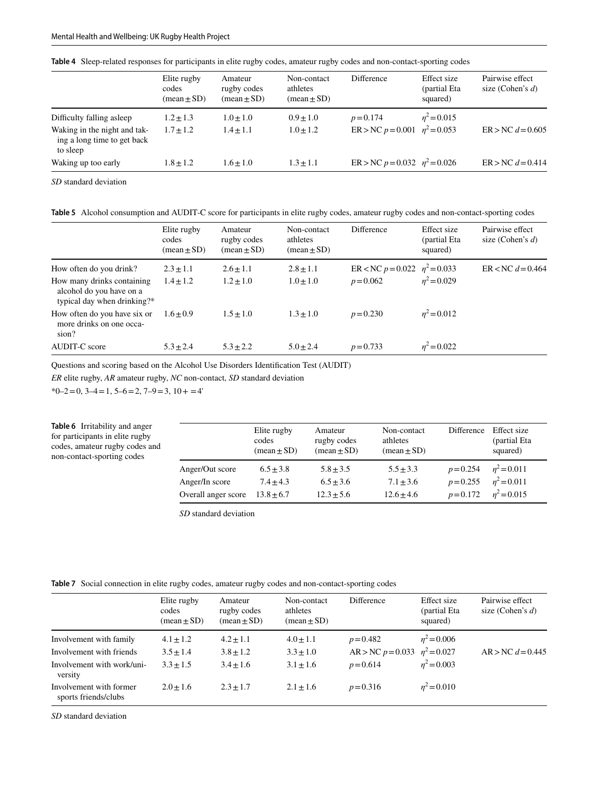|                                                                         | Elite rugby<br>codes<br>$(\text{mean} \pm \text{SD})$ | Amateur<br>rugby codes<br>$(\text{mean} \pm \text{SD})$ | Non-contact<br>athletes<br>$(\text{mean} \pm \text{SD})$ | Difference                           | Effect size<br>(partial Eta<br>squared) | Pairwise effect<br>size (Cohen's $d$ ) |
|-------------------------------------------------------------------------|-------------------------------------------------------|---------------------------------------------------------|----------------------------------------------------------|--------------------------------------|-----------------------------------------|----------------------------------------|
| Difficulty falling asleep                                               | $1.2 \pm 1.3$                                         | $1.0 \pm 1.0$                                           | $0.9 + 1.0$                                              | $p = 0.174$                          | $n^2$ = 0.015                           |                                        |
| Waking in the night and tak-<br>ing a long time to get back<br>to sleep | $1.7 + 1.2$                                           | $1.4 + 1.1$                                             | $1.0 + 1.2$                                              | $ER > NC p = 0.001$ $n^2 = 0.053$    |                                         | $ER > NC d = 0.605$                    |
| Waking up too early                                                     | $1.8 + 1.2$                                           | $1.6 + 1.0$                                             | $1.3 \pm 1.1$                                            | ER > NC $p = 0.032$ $\eta^2 = 0.026$ |                                         | $ER > NC d = 0.414$                    |

<span id="page-6-0"></span>**Table 4** Sleep-related responses for participants in elite rugby codes, amateur rugby codes and non-contact-sporting codes

*SD* standard deviation

<span id="page-6-1"></span>**Table 5** Alcohol consumption and AUDIT-C score for participants in elite rugby codes, amateur rugby codes and non-contact-sporting codes

|                                                                                       | Elite rugby<br>codes<br>$(\text{mean} \pm \text{SD})$ | Amateur<br>rugby codes<br>$(\text{mean} \pm \text{SD})$ | Non-contact<br>athletes<br>$(\text{mean} \pm \text{SD})$ | Difference                           | Effect size<br>(partial Eta<br>squared) | Pairwise effect<br>size (Cohen's $d$ ) |
|---------------------------------------------------------------------------------------|-------------------------------------------------------|---------------------------------------------------------|----------------------------------------------------------|--------------------------------------|-----------------------------------------|----------------------------------------|
| How often do you drink?                                                               | $2.3 \pm 1.1$                                         | $2.6 \pm 1.1$                                           | $2.8 \pm 1.1$                                            | ER < NC $p = 0.022$ $\eta^2 = 0.033$ |                                         | $ER < NC$ $d = 0.464$                  |
| How many drinks containing<br>alcohol do you have on a<br>typical day when drinking?* | $1.4 + 1.2$                                           | $1.2 \pm 1.0$                                           | $1.0 \pm 1.0$                                            | $p = 0.062$                          | $n^2 = 0.029$                           |                                        |
| How often do you have six or<br>more drinks on one occa-<br>sion?                     | $1.6 + 0.9$                                           | $1.5 + 1.0$                                             | $1.3 + 1.0$                                              | $p = 0.230$                          | $n^2 = 0.012$                           |                                        |
| <b>AUDIT-C</b> score                                                                  | $5.3 + 2.4$                                           | $5.3 \pm 2.2$                                           | $5.0 + 2.4$                                              | $p = 0.733$                          | $n^2 = 0.022$                           |                                        |

Questions and scoring based on the Alcohol Use Disorders Identifcation Test (AUDIT)

*ER* elite rugby, *AR* amateur rugby, *NC* non-contact, *SD* standard deviation

 $*0-2=0$ ,  $3-4=1$ ,  $5-6=2$ ,  $7-9=3$ ,  $10+ =4'$ 

<span id="page-6-2"></span>

| <b>Table 6</b> Irritability and anger<br>for participants in elite rugby<br>codes, amateur rugby codes and<br>non-contact-sporting codes |                     | Elite rugby<br>codes<br>$(\text{mean} \pm \text{SD})$ | Amateur<br>rugby codes<br>$(\text{mean} \pm \text{SD})$ | Non-contact<br>athletes<br>$(\text{mean} \pm \text{SD})$ | Difference  | Effect size<br>(partial Eta<br>squared) |
|------------------------------------------------------------------------------------------------------------------------------------------|---------------------|-------------------------------------------------------|---------------------------------------------------------|----------------------------------------------------------|-------------|-----------------------------------------|
|                                                                                                                                          | Anger/Out score     | $6.5 \pm 3.8$                                         | $5.8 + 3.5$                                             | $5.5 + 3.3$                                              | $p = 0.254$ | $n^2 = 0.011$                           |
|                                                                                                                                          | Anger/In score      | $7.4 + 4.3$                                           | $6.5 + 3.6$                                             | $7.1 + 3.6$                                              | $p = 0.255$ | $n^2$ = 0.011                           |
|                                                                                                                                          | Overall anger score | $13.8 + 6.7$                                          | $12.3 \pm 5.6$                                          | $12.6 \pm 4.6$                                           | $p = 0.172$ | $n^2$ = 0.015                           |

*SD* standard deviation

<span id="page-6-3"></span>**Table 7** Social connection in elite rugby codes, amateur rugby codes and non-contact-sporting codes

|                                                                                              | Elite rugby<br>codes<br>$(\text{mean} \pm \text{SD})$ | Amateur<br>rugby codes<br>$(\text{mean} \pm \text{SD})$ | Non-contact<br>athletes<br>$(\text{mean} \pm \text{SD})$ | Difference                                                         | Effect size<br>(partial Eta<br>squared) | Pairwise effect<br>size (Cohen's $d$ ) |
|----------------------------------------------------------------------------------------------|-------------------------------------------------------|---------------------------------------------------------|----------------------------------------------------------|--------------------------------------------------------------------|-----------------------------------------|----------------------------------------|
| Involvement with family<br>Involvement with friends<br>Involvement with work/uni-<br>versity | $4.1 \pm 1.2$<br>$3.5 \pm 1.4$<br>$3.3 + 1.5$         | $4.2 \pm 1.1$<br>$3.8 \pm 1.2$<br>$3.4 + 1.6$           | $4.0 \pm 1.1$<br>$3.3 \pm 1.0$<br>$3.1 + 1.6$            | $p = 0.482$<br>AR > NC $p = 0.033$ $\eta^2 = 0.027$<br>$p = 0.614$ | $\eta^2 = 0.006$<br>$n^2$ = 0.003       | $AR > NC$ $d = 0.445$                  |
| Involvement with former<br>sports friends/clubs                                              | $2.0 + 1.6$                                           | $2.3 \pm 1.7$                                           | $2.1 \pm 1.6$                                            | $p = 0.316$                                                        | $\eta^2 = 0.010$                        |                                        |

*SD* standard deviation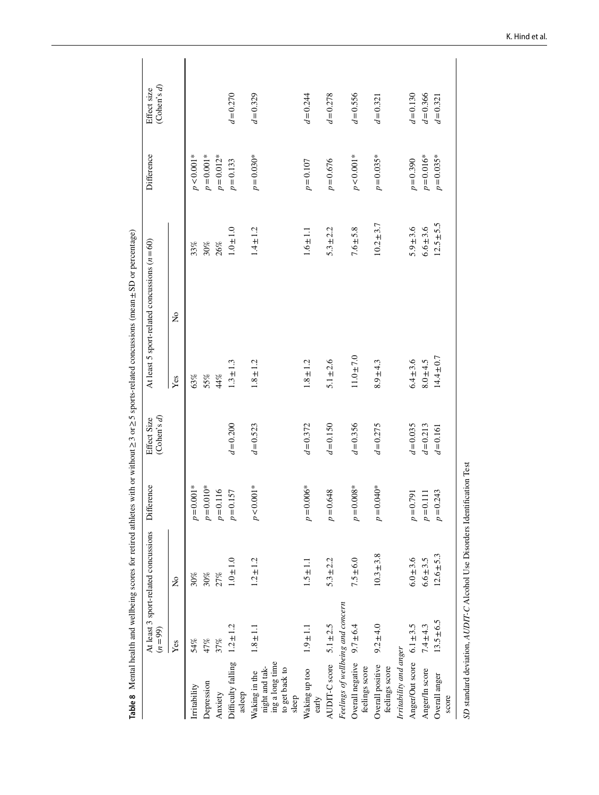<span id="page-7-0"></span>

| Depression<br>Irritability<br>Anxiety                                         | Yes            |                         |                     | (Cohen's d)<br>Effect Size |                | At least 5 sport-related concussions $(n = 60)$ | Difference   | (Cohen's d)<br>Effect size |
|-------------------------------------------------------------------------------|----------------|-------------------------|---------------------|----------------------------|----------------|-------------------------------------------------|--------------|----------------------------|
|                                                                               |                | $\overline{\mathsf{z}}$ |                     |                            | Yes            | $\tilde{z}$                                     |              |                            |
|                                                                               | 54%            | $30\%$                  | $p = 0.001*$        |                            | 63%            | 33%                                             | $p < 0.001*$ |                            |
|                                                                               | 47%            | 30%                     | $p = 0.010*$        |                            | $55\%$         | $30\%$                                          | $p = 0.001*$ |                            |
|                                                                               | 37%            | 27%                     | $p = 0.116$         |                            | $44\%$         | 26%                                             | $p = 0.012*$ |                            |
| Difficulty falling<br>asleep                                                  | $1.2 \pm 1.2$  | $1.0 \pm 1.0$           | $p = 0.157$         | $d = 0.200$                | $1.3 \pm 1.3$  | $1.0 \pm 1.0$                                   | $p = 0.133$  | $d = 0.270$                |
| ing a long time<br>night and tak-<br>to get back to<br>Waking in the<br>sleep | $1.8 \pm 1.1$  | $1.2 \pm 1.2$           | $p < 0.001*$        | $d = 0.523$                | $1.8 \pm 1.2$  | $1.4 \pm 1.2$                                   | $p = 0.030*$ | $d = 0.329$                |
| Waking up too<br>early                                                        | $1.9 \pm 1.1$  | $1.5 \pm 1.1$           | $.006*$<br>$p=0$ .  | $d = 0.372$                | $1.8 \pm 1.2$  | $1.6 \pm 1.1$                                   | $p = 0.107$  | $d = 0.244$                |
| AUDIT-C score                                                                 | $5.1 \pm 2.5$  | $5.3 \pm 2.2$           | 648<br>$p=0$ .      | $d = 0.150$                | $5.1 \pm 2.6$  | $5.3 \pm 2.2$                                   | $p = 0.676$  | $d = 0.278$                |
| Feelings of wellbeing and concern                                             |                |                         |                     |                            |                |                                                 |              |                            |
| Overall negative<br>feelings score                                            | $9.7 \pm 6.4$  | $7.5 \pm 6.0$           | $.008*$<br>$p=0.$   | $d = 0.356$                | $11.0 \pm 7.0$ | $7.6 \pm 5.8$                                   | $p < 0.001*$ | $d = 0.556$                |
| Overall positive<br>feelings score                                            | $9.2 \pm 4.0$  | $10.3 \pm 3.8$          | $.040*$<br>$p = 0.$ | $d = 0.275$                | $8.9 + 4.3$    | $10.2 \pm 3.7$                                  | $p = 0.035*$ | $d = 0.321$                |
| Irritability and anger                                                        |                |                         |                     |                            |                |                                                 |              |                            |
| Anger/Out score $6.1 \pm 3.5$                                                 |                | $6.0 \pm 3.6$           | $p=0.791$           | $d = 0.035$                | $6.4 \pm 3.6$  | $5.9 + 3.6$                                     | $p = 0.390$  | $d = 0.130$                |
| Anger/In score                                                                | $7.4 \pm 4.3$  | $6.6 \pm 3.5$           | $p=0.111$           | $d = 0.213$                | $8.0 + 4.5$    | $6.6 \pm 3.6$                                   | $p = 0.016*$ | $d = 0.366$                |
| Overall anger                                                                 | $13.5 \pm 6.5$ | $12.6 \pm 5.3$          | .243<br>$p=0$ .     | $d = 0.161$                | $14.4 \pm 0.7$ | $12.5 \pm 5.5$                                  | $p = 0.035*$ | $d = 0.321$                |
| score                                                                         |                |                         |                     |                            |                |                                                 |              |                            |

K. Hind et al.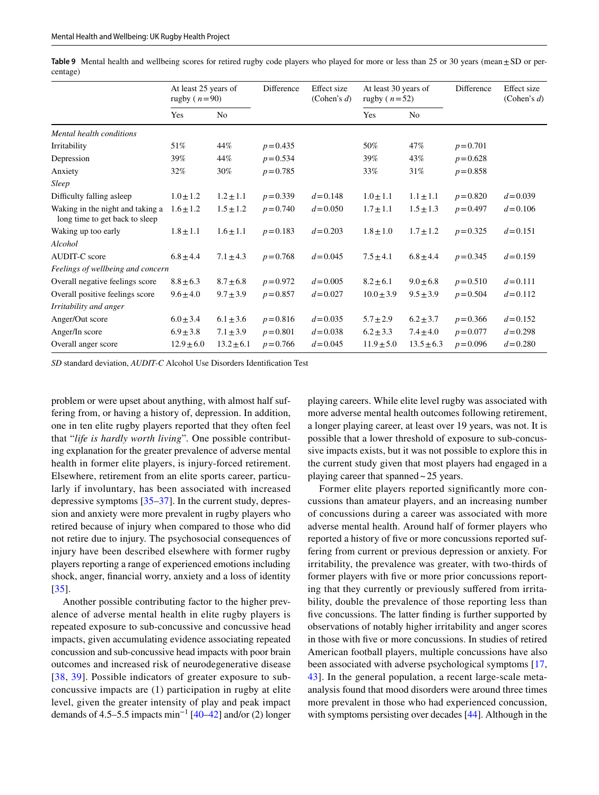|                                                                    | At least 25 years of<br>rugby ( $n=90$ ) |                | Difference  | Effect size<br>(Cohen's $d$ ) | At least 30 years of<br>rugby ( $n=52$ ) |                | Difference  | Effect size<br>(Cohen's $d$ ) |
|--------------------------------------------------------------------|------------------------------------------|----------------|-------------|-------------------------------|------------------------------------------|----------------|-------------|-------------------------------|
|                                                                    | Yes                                      | No             |             |                               | Yes                                      | No             |             |                               |
| Mental health conditions                                           |                                          |                |             |                               |                                          |                |             |                               |
| Irritability                                                       | 51%                                      | 44%            | $p = 0.435$ |                               | 50%                                      | 47%            | $p = 0.701$ |                               |
| Depression                                                         | 39%                                      | 44%            | $p = 0.534$ |                               | 39%                                      | 43%            | $p = 0.628$ |                               |
| Anxiety                                                            | 32%                                      | 30%            | $p = 0.785$ |                               | 33%                                      | 31%            | $p = 0.858$ |                               |
| Sleep                                                              |                                          |                |             |                               |                                          |                |             |                               |
| Difficulty falling asleep                                          | $1.0 \pm 1.2$                            | $1.2 \pm 1.1$  | $p = 0.339$ | $d = 0.148$                   | $1.0 \pm 1.1$                            | $1.1 \pm 1.1$  | $p = 0.820$ | $d = 0.039$                   |
| Waking in the night and taking a<br>long time to get back to sleep | $1.6 \pm 1.2$                            | $1.5 \pm 1.2$  | $p = 0.740$ | $d = 0.050$                   | $1.7 \pm 1.1$                            | $1.5 \pm 1.3$  | $p = 0.497$ | $d = 0.106$                   |
| Waking up too early                                                | $1.8 \pm 1.1$                            | $1.6 \pm 1.1$  | $p = 0.183$ | $d = 0.203$                   | $1.8 \pm 1.0$                            | $1.7 \pm 1.2$  | $p = 0.325$ | $d = 0.151$                   |
| Alcohol                                                            |                                          |                |             |                               |                                          |                |             |                               |
| <b>AUDIT-C</b> score                                               | $6.8 \pm 4.4$                            | $7.1 \pm 4.3$  | $p = 0.768$ | $d = 0.045$                   | $7.5 \pm 4.1$                            | $6.8 \pm 4.4$  | $p = 0.345$ | $d = 0.159$                   |
| Feelings of wellbeing and concern                                  |                                          |                |             |                               |                                          |                |             |                               |
| Overall negative feelings score                                    | $8.8 \pm 6.3$                            | $8.7 \pm 6.8$  | $p = 0.972$ | $d = 0.005$                   | $8.2 \pm 6.1$                            | $9.0 \pm 6.8$  | $p = 0.510$ | $d = 0.111$                   |
| Overall positive feelings score                                    | $9.6 \pm 4.0$                            | $9.7 \pm 3.9$  | $p = 0.857$ | $d = 0.027$                   | $10.0 \pm 3.9$                           | $9.5 \pm 3.9$  | $p = 0.504$ | $d = 0.112$                   |
| Irritability and anger                                             |                                          |                |             |                               |                                          |                |             |                               |
| Anger/Out score                                                    | $6.0 \pm 3.4$                            | $6.1 \pm 3.6$  | $p = 0.816$ | $d = 0.035$                   | $5.7 \pm 2.9$                            | $6.2 \pm 3.7$  | $p = 0.366$ | $d = 0.152$                   |
| Anger/In score                                                     | $6.9 \pm 3.8$                            | $7.1 \pm 3.9$  | $p = 0.801$ | $d = 0.038$                   | $6.2 \pm 3.3$                            | $7.4 \pm 4.0$  | $p = 0.077$ | $d = 0.298$                   |
| Overall anger score                                                | $12.9 \pm 6.0$                           | $13.2 \pm 6.1$ | $p = 0.766$ | $d = 0.045$                   | $11.9 \pm 5.0$                           | $13.5 \pm 6.3$ | $p = 0.096$ | $d = 0.280$                   |

<span id="page-8-0"></span>**Table 9** Mental health and wellbeing scores for retired rugby code players who played for more or less than 25 or 30 years (mean±SD or percentage)

*SD* standard deviation, *AUDIT-C* Alcohol Use Disorders Identifcation Test

problem or were upset about anything, with almost half suffering from, or having a history of, depression. In addition, one in ten elite rugby players reported that they often feel that "*life is hardly worth living*"*.* One possible contributing explanation for the greater prevalence of adverse mental health in former elite players, is injury-forced retirement. Elsewhere, retirement from an elite sports career, particularly if involuntary, has been associated with increased depressive symptoms [[35](#page-11-19)[–37](#page-11-20)]. In the current study, depression and anxiety were more prevalent in rugby players who retired because of injury when compared to those who did not retire due to injury. The psychosocial consequences of injury have been described elsewhere with former rugby players reporting a range of experienced emotions including shock, anger, fnancial worry, anxiety and a loss of identity [\[35\]](#page-11-19).

Another possible contributing factor to the higher prevalence of adverse mental health in elite rugby players is repeated exposure to sub-concussive and concussive head impacts, given accumulating evidence associating repeated concussion and sub-concussive head impacts with poor brain outcomes and increased risk of neurodegenerative disease [[38,](#page-11-21) [39](#page-11-22)]. Possible indicators of greater exposure to subconcussive impacts are (1) participation in rugby at elite level, given the greater intensity of play and peak impact demands of 4.5–5.5 impacts min<sup>-1</sup> [[40](#page-11-23)[–42](#page-11-24)] and/or (2) longer playing careers. While elite level rugby was associated with more adverse mental health outcomes following retirement, a longer playing career, at least over 19 years, was not. It is possible that a lower threshold of exposure to sub-concussive impacts exists, but it was not possible to explore this in the current study given that most players had engaged in a playing career that spanned~25 years.

Former elite players reported significantly more concussions than amateur players, and an increasing number of concussions during a career was associated with more adverse mental health. Around half of former players who reported a history of fve or more concussions reported suffering from current or previous depression or anxiety. For irritability, the prevalence was greater, with two-thirds of former players with fve or more prior concussions reporting that they currently or previously sufered from irritability, double the prevalence of those reporting less than five concussions. The latter finding is further supported by observations of notably higher irritability and anger scores in those with fve or more concussions. In studies of retired American football players, multiple concussions have also been associated with adverse psychological symptoms [[17,](#page-11-3) [43](#page-11-25)]. In the general population, a recent large-scale metaanalysis found that mood disorders were around three times more prevalent in those who had experienced concussion, with symptoms persisting over decades [\[44\]](#page-11-26). Although in the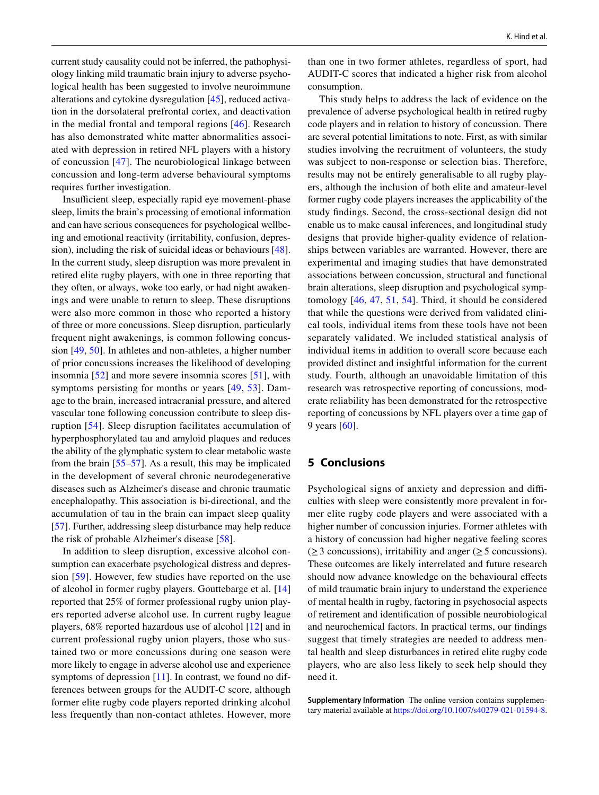current study causality could not be inferred, the pathophysiology linking mild traumatic brain injury to adverse psychological health has been suggested to involve neuroimmune alterations and cytokine dysregulation [[45\]](#page-11-27), reduced activation in the dorsolateral prefrontal cortex, and deactivation in the medial frontal and temporal regions [[46](#page-12-0)]. Research has also demonstrated white matter abnormalities associated with depression in retired NFL players with a history of concussion [\[47](#page-12-1)]. The neurobiological linkage between concussion and long-term adverse behavioural symptoms requires further investigation.

Insufficient sleep, especially rapid eye movement-phase sleep, limits the brain's processing of emotional information and can have serious consequences for psychological wellbeing and emotional reactivity (irritability, confusion, depression), including the risk of suicidal ideas or behaviours [\[48](#page-12-2)]. In the current study, sleep disruption was more prevalent in retired elite rugby players, with one in three reporting that they often, or always, woke too early, or had night awakenings and were unable to return to sleep. These disruptions were also more common in those who reported a history of three or more concussions. Sleep disruption, particularly frequent night awakenings, is common following concussion [[49,](#page-12-3) [50\]](#page-12-4). In athletes and non-athletes, a higher number of prior concussions increases the likelihood of developing insomnia [[52\]](#page-12-5) and more severe insomnia scores [[51](#page-12-6)], with symptoms persisting for months or years [[49](#page-12-3), [53](#page-12-7)]. Damage to the brain, increased intracranial pressure, and altered vascular tone following concussion contribute to sleep disruption [[54](#page-12-8)]. Sleep disruption facilitates accumulation of hyperphosphorylated tau and amyloid plaques and reduces the ability of the glymphatic system to clear metabolic waste from the brain [[55](#page-12-9)[–57](#page-12-10)]. As a result, this may be implicated in the development of several chronic neurodegenerative diseases such as Alzheimer's disease and chronic traumatic encephalopathy. This association is bi-directional, and the accumulation of tau in the brain can impact sleep quality [\[57](#page-12-10)]. Further, addressing sleep disturbance may help reduce the risk of probable Alzheimer's disease [\[58](#page-12-11)].

In addition to sleep disruption, excessive alcohol consumption can exacerbate psychological distress and depression [[59](#page-12-12)]. However, few studies have reported on the use of alcohol in former rugby players. Gouttebarge et al. [[14\]](#page-11-0) reported that 25% of former professional rugby union players reported adverse alcohol use. In current rugby league players, 68% reported hazardous use of alcohol [[12](#page-10-9)] and in current professional rugby union players, those who sustained two or more concussions during one season were more likely to engage in adverse alcohol use and experience symptoms of depression [\[11](#page-10-8)]. In contrast, we found no differences between groups for the AUDIT-C score, although former elite rugby code players reported drinking alcohol less frequently than non-contact athletes. However, more than one in two former athletes, regardless of sport, had AUDIT-C scores that indicated a higher risk from alcohol consumption.

This study helps to address the lack of evidence on the prevalence of adverse psychological health in retired rugby code players and in relation to history of concussion. There are several potential limitations to note. First, as with similar studies involving the recruitment of volunteers, the study was subject to non-response or selection bias. Therefore, results may not be entirely generalisable to all rugby players, although the inclusion of both elite and amateur-level former rugby code players increases the applicability of the study fndings. Second, the cross-sectional design did not enable us to make causal inferences, and longitudinal study designs that provide higher-quality evidence of relationships between variables are warranted. However, there are experimental and imaging studies that have demonstrated associations between concussion, structural and functional brain alterations, sleep disruption and psychological symptomology [[46](#page-12-0), [47](#page-12-1), [51](#page-12-6), [54](#page-12-8)]. Third, it should be considered that while the questions were derived from validated clinical tools, individual items from these tools have not been separately validated. We included statistical analysis of individual items in addition to overall score because each provided distinct and insightful information for the current study. Fourth, although an unavoidable limitation of this research was retrospective reporting of concussions, moderate reliability has been demonstrated for the retrospective reporting of concussions by NFL players over a time gap of 9 years [[60\]](#page-12-13).

# <span id="page-9-0"></span>**5 Conclusions**

Psychological signs of anxiety and depression and difficulties with sleep were consistently more prevalent in former elite rugby code players and were associated with a higher number of concussion injuries. Former athletes with a history of concussion had higher negative feeling scores  $(\geq 3$  concussions), irritability and anger ( $\geq 5$  concussions). These outcomes are likely interrelated and future research should now advance knowledge on the behavioural effects of mild traumatic brain injury to understand the experience of mental health in rugby, factoring in psychosocial aspects of retirement and identifcation of possible neurobiological and neurochemical factors. In practical terms, our fndings suggest that timely strategies are needed to address mental health and sleep disturbances in retired elite rugby code players, who are also less likely to seek help should they need it.

**Supplementary Information** The online version contains supplementary material available at<https://doi.org/10.1007/s40279-021-01594-8>.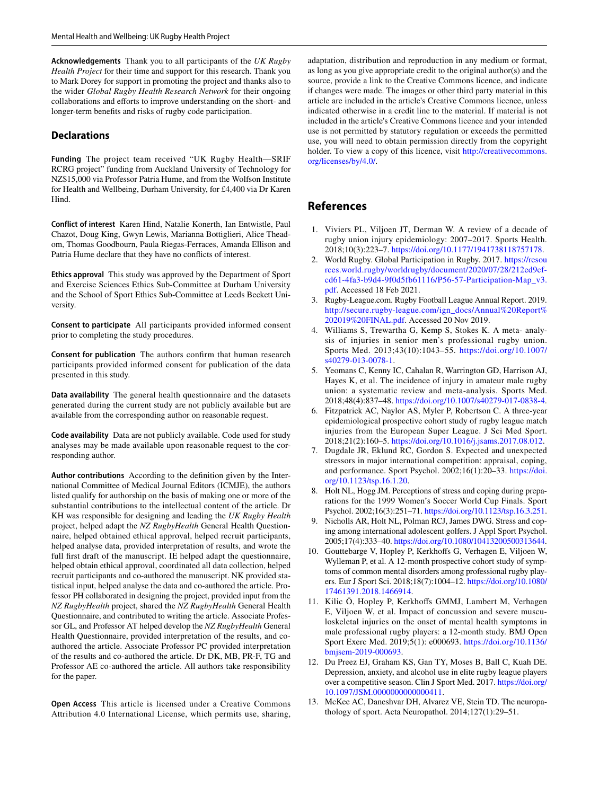**Acknowledgements** Thank you to all participants of the *UK Rugby Health Project* for their time and support for this research. Thank you to Mark Dorey for support in promoting the project and thanks also to the wider *Global Rugby Health Research Network* for their ongoing collaborations and efforts to improve understanding on the short- and longer-term benefts and risks of rugby code participation.

#### **Declarations**

**Funding** The project team received "UK Rugby Health—SRIF RCRG project" funding from Auckland University of Technology for NZ\$15,000 via Professor Patria Hume, and from the Wolfson Institute for Health and Wellbeing, Durham University, for £4,400 via Dr Karen Hind.

**Conflict of interest** Karen Hind, Natalie Konerth, Ian Entwistle, Paul Chazot, Doug King, Gwyn Lewis, Marianna Bottiglieri, Alice Theadom, Thomas Goodbourn, Paula Riegas-Ferraces, Amanda Ellison and Patria Hume declare that they have no conficts of interest.

**Ethics approval** This study was approved by the Department of Sport and Exercise Sciences Ethics Sub-Committee at Durham University and the School of Sport Ethics Sub-Committee at Leeds Beckett University.

**Consent to participate** All participants provided informed consent prior to completing the study procedures.

**Consent for publication** The authors confrm that human research participants provided informed consent for publication of the data presented in this study.

**Data availability** The general health questionnaire and the datasets generated during the current study are not publicly available but are available from the corresponding author on reasonable request.

**Code availability** Data are not publicly available. Code used for study analyses may be made available upon reasonable request to the corresponding author.

**Author contributions** According to the defnition given by the International Committee of Medical Journal Editors (ICMJE), the authors listed qualify for authorship on the basis of making one or more of the substantial contributions to the intellectual content of the article. Dr KH was responsible for designing and leading the *UK Rugby Health* project, helped adapt the *NZ RugbyHealth* General Health Questionnaire, helped obtained ethical approval, helped recruit participants, helped analyse data, provided interpretation of results, and wrote the full first draft of the manuscript. IE helped adapt the questionnaire, helped obtain ethical approval, coordinated all data collection, helped recruit participants and co-authored the manuscript. NK provided statistical input, helped analyse the data and co-authored the article. Professor PH collaborated in designing the project, provided input from the *NZ RugbyHealth* project, shared the *NZ RugbyHealth* General Health Questionnaire, and contributed to writing the article. Associate Professor GL, and Professor AT helped develop the *NZ RugbyHealth* General Health Questionnaire, provided interpretation of the results, and coauthored the article. Associate Professor PC provided interpretation of the results and co-authored the article. Dr DK, MB, PR-F, TG and Professor AE co-authored the article. All authors take responsibility for the paper.

**Open Access** This article is licensed under a Creative Commons Attribution 4.0 International License, which permits use, sharing,

adaptation, distribution and reproduction in any medium or format, as long as you give appropriate credit to the original author(s) and the source, provide a link to the Creative Commons licence, and indicate if changes were made. The images or other third party material in this article are included in the article's Creative Commons licence, unless indicated otherwise in a credit line to the material. If material is not included in the article's Creative Commons licence and your intended use is not permitted by statutory regulation or exceeds the permitted use, you will need to obtain permission directly from the copyright holder. To view a copy of this licence, visit [http://creativecommons.](http://creativecommons.org/licenses/by/4.0/) [org/licenses/by/4.0/.](http://creativecommons.org/licenses/by/4.0/)

# **References**

- <span id="page-10-0"></span>1. Viviers PL, Viljoen JT, Derman W. A review of a decade of rugby union injury epidemiology: 2007–2017. Sports Health. 2018;10(3):223–7.<https://doi.org/10.1177/1941738118757178>.
- <span id="page-10-1"></span>2. World Rugby. Global Participation in Rugby. 2017. [https://resou](https://resources.world.rugby/worldrugby/document/2020/07/28/212ed9cf-cd61-4fa3-b9d4-9f0d5fb61116/P56-57-Participation-Map_v3.pdf) [rces.world.rugby/worldrugby/document/2020/07/28/212ed9cf](https://resources.world.rugby/worldrugby/document/2020/07/28/212ed9cf-cd61-4fa3-b9d4-9f0d5fb61116/P56-57-Participation-Map_v3.pdf)[cd61-4fa3-b9d4-9f0d5fb61116/P56-57-Participation-Map\\_v3.](https://resources.world.rugby/worldrugby/document/2020/07/28/212ed9cf-cd61-4fa3-b9d4-9f0d5fb61116/P56-57-Participation-Map_v3.pdf) [pdf.](https://resources.world.rugby/worldrugby/document/2020/07/28/212ed9cf-cd61-4fa3-b9d4-9f0d5fb61116/P56-57-Participation-Map_v3.pdf) Accessed 18 Feb 2021.
- <span id="page-10-2"></span>3. Rugby-League.com. Rugby Football League Annual Report. 2019. [http://secure.rugby-league.com/ign\\_docs/Annual%20Report%](http://secure.rugby-league.com/ign_docs/Annual%20Report%202019%20FINAL.pdf) [202019%20FINAL.pdf.](http://secure.rugby-league.com/ign_docs/Annual%20Report%202019%20FINAL.pdf) Accessed 20 Nov 2019.
- <span id="page-10-3"></span>4. Williams S, Trewartha G, Kemp S, Stokes K. A meta- analysis of injuries in senior men's professional rugby union. Sports Med. 2013;43(10):1043–55. [https://doi.org/10.1007/](https://doi.org/10.1007/s40279-013-0078-1) [s40279-013-0078-1.](https://doi.org/10.1007/s40279-013-0078-1)
- 5. Yeomans C, Kenny IC, Cahalan R, Warrington GD, Harrison AJ, Hayes K, et al. The incidence of injury in amateur male rugby union: a systematic review and meta-analysis. Sports Med. 2018;48(4):837–48. [https://doi.org/10.1007/s40279-017-0838-4.](https://doi.org/10.1007/s40279-017-0838-4)
- <span id="page-10-4"></span>6. Fitzpatrick AC, Naylor AS, Myler P, Robertson C. A three-year epidemiological prospective cohort study of rugby league match injuries from the European Super League. J Sci Med Sport. 2018;21(2):160–5. [https://doi.org/10.1016/j.jsams.2017.08.012.](https://doi.org/10.1016/j.jsams.2017.08.012)
- <span id="page-10-5"></span>7. Dugdale JR, Eklund RC, Gordon S. Expected and unexpected stressors in major international competition: appraisal, coping, and performance. Sport Psychol. 2002;16(1):20–33. [https://doi.](https://doi.org/10.1123/tsp.16.1.20) [org/10.1123/tsp.16.1.20](https://doi.org/10.1123/tsp.16.1.20).
- 8. Holt NL, Hogg JM. Perceptions of stress and coping during preparations for the 1999 Women's Soccer World Cup Finals. Sport Psychol. 2002;16(3):251–71.<https://doi.org/10.1123/tsp.16.3.251>.
- <span id="page-10-6"></span>9. Nicholls AR, Holt NL, Polman RCJ, James DWG. Stress and coping among international adolescent golfers. J Appl Sport Psychol. 2005;17(4):333–40. [https://doi.org/10.1080/10413200500313644.](https://doi.org/10.1080/10413200500313644)
- <span id="page-10-7"></span>10. Gouttebarge V, Hopley P, Kerkhofs G, Verhagen E, Viljoen W, Wylleman P, et al. A 12-month prospective cohort study of symptoms of common mental disorders among professional rugby players. Eur J Sport Sci. 2018;18(7):1004–12. [https://doi.org/10.1080/](https://doi.org/10.1080/17461391.2018.1466914) [17461391.2018.1466914.](https://doi.org/10.1080/17461391.2018.1466914)
- <span id="page-10-8"></span>11. Kilic Ö, Hopley P, Kerkhofs GMMJ, Lambert M, Verhagen E, Viljoen W, et al. Impact of concussion and severe musculoskeletal injuries on the onset of mental health symptoms in male professional rugby players: a 12-month study. BMJ Open Sport Exerc Med. 2019;5(1): e000693. [https://doi.org/10.1136/](https://doi.org/10.1136/bmjsem-2019-000693) [bmjsem-2019-000693.](https://doi.org/10.1136/bmjsem-2019-000693)
- <span id="page-10-9"></span>12. Du Preez EJ, Graham KS, Gan TY, Moses B, Ball C, Kuah DE. Depression, anxiety, and alcohol use in elite rugby league players over a competitive season. Clin J Sport Med. 2017. [https://doi.org/](https://doi.org/10.1097/JSM.0000000000000411) [10.1097/JSM.0000000000000411.](https://doi.org/10.1097/JSM.0000000000000411)
- <span id="page-10-10"></span>13. McKee AC, Daneshvar DH, Alvarez VE, Stein TD. The neuropathology of sport. Acta Neuropathol. 2014;127(1):29–51.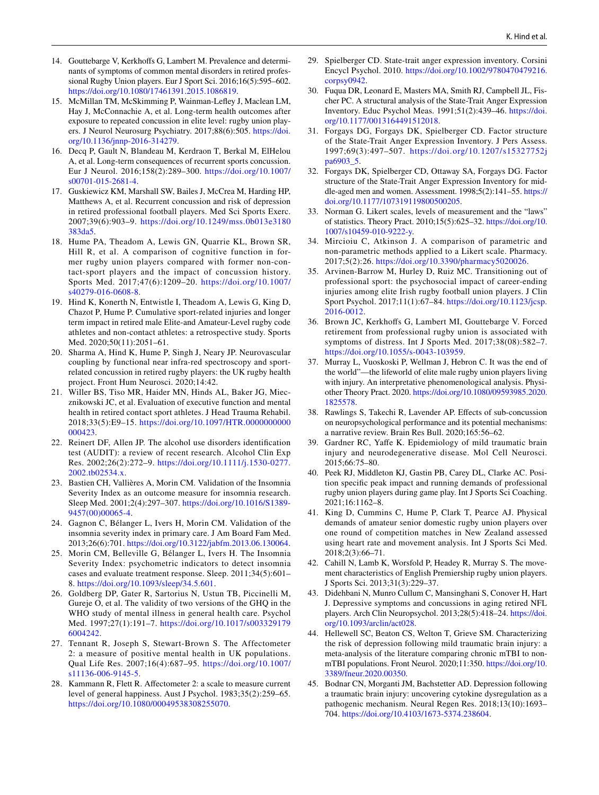- <span id="page-11-0"></span>14. Gouttebarge V, Kerkhofs G, Lambert M. Prevalence and determinants of symptoms of common mental disorders in retired professional Rugby Union players. Eur J Sport Sci. 2016;16(5):595–602. <https://doi.org/10.1080/17461391.2015.1086819>.
- <span id="page-11-1"></span>15. McMillan TM, McSkimming P, Wainman-Lefey J, Maclean LM, Hay J, McConnachie A, et al. Long-term health outcomes after exposure to repeated concussion in elite level: rugby union players. J Neurol Neurosurg Psychiatry. 2017;88(6):505. [https://doi.](https://doi.org/10.1136/jnnp-2016-314279) [org/10.1136/jnnp-2016-314279](https://doi.org/10.1136/jnnp-2016-314279).
- <span id="page-11-2"></span>16. Decq P, Gault N, Blandeau M, Kerdraon T, Berkal M, ElHelou A, et al. Long-term consequences of recurrent sports concussion. Eur J Neurol. 2016;158(2):289–300. [https://doi.org/10.1007/](https://doi.org/10.1007/s00701-015-2681-4) [s00701-015-2681-4.](https://doi.org/10.1007/s00701-015-2681-4)
- <span id="page-11-3"></span>17. Guskiewicz KM, Marshall SW, Bailes J, McCrea M, Harding HP, Matthews A, et al. Recurrent concussion and risk of depression in retired professional football players. Med Sci Sports Exerc. 2007;39(6):903–9. [https://doi.org/10.1249/mss.0b013e3180](https://doi.org/10.1249/mss.0b013e3180383da5) [383da5](https://doi.org/10.1249/mss.0b013e3180383da5).
- <span id="page-11-4"></span>18. Hume PA, Theadom A, Lewis GN, Quarrie KL, Brown SR, Hill R, et al. A comparison of cognitive function in former rugby union players compared with former non-contact-sport players and the impact of concussion history. Sports Med. 2017;47(6):1209–20. [https://doi.org/10.1007/](https://doi.org/10.1007/s40279-016-0608-8) [s40279-016-0608-8.](https://doi.org/10.1007/s40279-016-0608-8)
- <span id="page-11-5"></span>19. Hind K, Konerth N, Entwistle I, Theadom A, Lewis G, King D, Chazot P, Hume P. Cumulative sport-related injuries and longer term impact in retired male Elite-and Amateur-Level rugby code athletes and non-contact athletes: a retrospective study. Sports Med. 2020;50(11):2051–61.
- <span id="page-11-6"></span>20. Sharma A, Hind K, Hume P, Singh J, Neary JP. Neurovascular coupling by functional near infra-red spectroscopy and sportrelated concussion in retired rugby players: the UK rugby health project. Front Hum Neurosci. 2020;14:42.
- <span id="page-11-7"></span>21. Willer BS, Tiso MR, Haider MN, Hinds AL, Baker JG, Miecznikowski JC, et al. Evaluation of executive function and mental health in retired contact sport athletes. J Head Trauma Rehabil. 2018;33(5):E9–15. [https://doi.org/10.1097/HTR.0000000000](https://doi.org/10.1097/HTR.0000000000000423) [000423.](https://doi.org/10.1097/HTR.0000000000000423)
- <span id="page-11-8"></span>22. Reinert DF, Allen JP. The alcohol use disorders identifcation test (AUDIT): a review of recent research. Alcohol Clin Exp Res. 2002;26(2):272–9. [https://doi.org/10.1111/j.1530-0277.](https://doi.org/10.1111/j.1530-0277.2002.tb02534.x) [2002.tb02534.x.](https://doi.org/10.1111/j.1530-0277.2002.tb02534.x)
- <span id="page-11-9"></span>23. Bastien CH, Vallières A, Morin CM. Validation of the Insomnia Severity Index as an outcome measure for insomnia research. Sleep Med. 2001;2(4):297–307. [https://doi.org/10.1016/S1389-](https://doi.org/10.1016/S1389-9457(00)00065-4) [9457\(00\)00065-4.](https://doi.org/10.1016/S1389-9457(00)00065-4)
- 24. Gagnon C, Bélanger L, Ivers H, Morin CM. Validation of the insomnia severity index in primary care. J Am Board Fam Med. 2013;26(6):701. [https://doi.org/10.3122/jabfm.2013.06.130064.](https://doi.org/10.3122/jabfm.2013.06.130064)
- <span id="page-11-10"></span>25. Morin CM, Belleville G, Bélanger L, Ivers H. The Insomnia Severity Index: psychometric indicators to detect insomnia cases and evaluate treatment response. Sleep. 2011;34(5):601– 8. [https://doi.org/10.1093/sleep/34.5.601.](https://doi.org/10.1093/sleep/34.5.601)
- <span id="page-11-11"></span>26. Goldberg DP, Gater R, Sartorius N, Ustun TB, Piccinelli M, Gureje O, et al. The validity of two versions of the GHQ in the WHO study of mental illness in general health care. Psychol Med. 1997;27(1):191–7. [https://doi.org/10.1017/s003329179](https://doi.org/10.1017/s0033291796004242) [6004242.](https://doi.org/10.1017/s0033291796004242)
- <span id="page-11-12"></span>27. Tennant R, Joseph S, Stewart-Brown S. The Affectometer 2: a measure of positive mental health in UK populations. Qual Life Res. 2007;16(4):687–95. [https://doi.org/10.1007/](https://doi.org/10.1007/s11136-006-9145-5) [s11136-006-9145-5.](https://doi.org/10.1007/s11136-006-9145-5)
- <span id="page-11-13"></span>28. Kammann R, Flett R. Afectometer 2: a scale to measure current level of general happiness. Aust J Psychol. 1983;35(2):259–65. <https://doi.org/10.1080/00049538308255070>.
- <span id="page-11-14"></span>29. Spielberger CD. State-trait anger expression inventory. Corsini Encycl Psychol. 2010. [https://doi.org/10.1002/9780470479216.](https://doi.org/10.1002/9780470479216.corpsy0942) [corpsy0942](https://doi.org/10.1002/9780470479216.corpsy0942).
- <span id="page-11-15"></span>30. Fuqua DR, Leonard E, Masters MA, Smith RJ, Campbell JL, Fischer PC. A structural analysis of the State-Trait Anger Expression Inventory. Educ Psychol Meas. 1991;51(2):439–46. [https://doi.](https://doi.org/10.1177/0013164491512018) [org/10.1177/0013164491512018.](https://doi.org/10.1177/0013164491512018)
- 31. Forgays DG, Forgays DK, Spielberger CD. Factor structure of the State-Trait Anger Expression Inventory. J Pers Assess. 1997;69(3):497–507. [https://doi.org/10.1207/s15327752j](https://doi.org/10.1207/s15327752jpa6903_5) [pa6903\\_5](https://doi.org/10.1207/s15327752jpa6903_5).
- <span id="page-11-16"></span>32. Forgays DK, Spielberger CD, Ottaway SA, Forgays DG. Factor structure of the State-Trait Anger Expression Inventory for middle-aged men and women. Assessment. 1998;5(2):141–55. [https://](https://doi.org/10.1177/107319119800500205) [doi.org/10.1177/107319119800500205.](https://doi.org/10.1177/107319119800500205)
- <span id="page-11-17"></span>33. Norman G. Likert scales, levels of measurement and the "laws" of statistics. Theory Pract. 2010;15(5):625–32. [https://doi.org/10.](https://doi.org/10.1007/s10459-010-9222-y) [1007/s10459-010-9222-y.](https://doi.org/10.1007/s10459-010-9222-y)
- <span id="page-11-18"></span>34. Mircioiu C, Atkinson J. A comparison of parametric and non-parametric methods applied to a Likert scale. Pharmacy. 2017;5(2):26. [https://doi.org/10.3390/pharmacy5020026.](https://doi.org/10.3390/pharmacy5020026)
- <span id="page-11-19"></span>35. Arvinen-Barrow M, Hurley D, Ruiz MC. Transitioning out of professional sport: the psychosocial impact of career-ending injuries among elite Irish rugby football union players. J Clin Sport Psychol. 2017;11(1):67–84. [https://doi.org/10.1123/jcsp.](https://doi.org/10.1123/jcsp.2016-0012) [2016-0012](https://doi.org/10.1123/jcsp.2016-0012).
- 36. Brown JC, Kerkhofs G, Lambert MI, Gouttebarge V. Forced retirement from professional rugby union is associated with symptoms of distress. Int J Sports Med. 2017;38(08):582–7. [https://doi.org/10.1055/s-0043-103959.](https://doi.org/10.1055/s-0043-103959)
- <span id="page-11-20"></span>37. Murray L, Vuoskoski P, Wellman J, Hebron C. It was the end of the world"—the lifeworld of elite male rugby union players living with injury. An interpretative phenomenological analysis. Physiother Theory Pract. 2020. [https://doi.org/10.1080/09593985.2020.](https://doi.org/10.1080/09593985.2020.1825578) [1825578](https://doi.org/10.1080/09593985.2020.1825578).
- <span id="page-11-21"></span>38. Rawlings S, Takechi R, Lavender AP. Efects of sub-concussion on neuropsychological performance and its potential mechanisms: a narrative review. Brain Res Bull. 2020;165:56–62.
- <span id="page-11-22"></span>39. Gardner RC, Yafe K. Epidemiology of mild traumatic brain injury and neurodegenerative disease. Mol Cell Neurosci. 2015;66:75–80.
- <span id="page-11-23"></span>40. Peek RJ, Middleton KJ, Gastin PB, Carey DL, Clarke AC. Position specifc peak impact and running demands of professional rugby union players during game play. Int J Sports Sci Coaching. 2021;16:1162–8.
- 41. King D, Cummins C, Hume P, Clark T, Pearce AJ. Physical demands of amateur senior domestic rugby union players over one round of competition matches in New Zealand assessed using heart rate and movement analysis. Int J Sports Sci Med. 2018;2(3):66–71.
- <span id="page-11-24"></span>42. Cahill N, Lamb K, Worsfold P, Headey R, Murray S. The movement characteristics of English Premiership rugby union players. J Sports Sci. 2013;31(3):229–37.
- <span id="page-11-25"></span>43. Didehbani N, Munro Cullum C, Mansinghani S, Conover H, Hart J. Depressive symptoms and concussions in aging retired NFL players. Arch Clin Neuropsychol. 2013;28(5):418–24. [https://doi.](https://doi.org/10.1093/arclin/act028) [org/10.1093/arclin/act028](https://doi.org/10.1093/arclin/act028).
- <span id="page-11-26"></span>44. Hellewell SC, Beaton CS, Welton T, Grieve SM. Characterizing the risk of depression following mild traumatic brain injury: a meta-analysis of the literature comparing chronic mTBI to nonmTBI populations. Front Neurol. 2020;11:350. [https://doi.org/10.](https://doi.org/10.3389/fneur.2020.00350) [3389/fneur.2020.00350](https://doi.org/10.3389/fneur.2020.00350).
- <span id="page-11-27"></span>45. Bodnar CN, Morganti JM, Bachstetter AD. Depression following a traumatic brain injury: uncovering cytokine dysregulation as a pathogenic mechanism. Neural Regen Res. 2018;13(10):1693– 704. [https://doi.org/10.4103/1673-5374.238604.](https://doi.org/10.4103/1673-5374.238604)